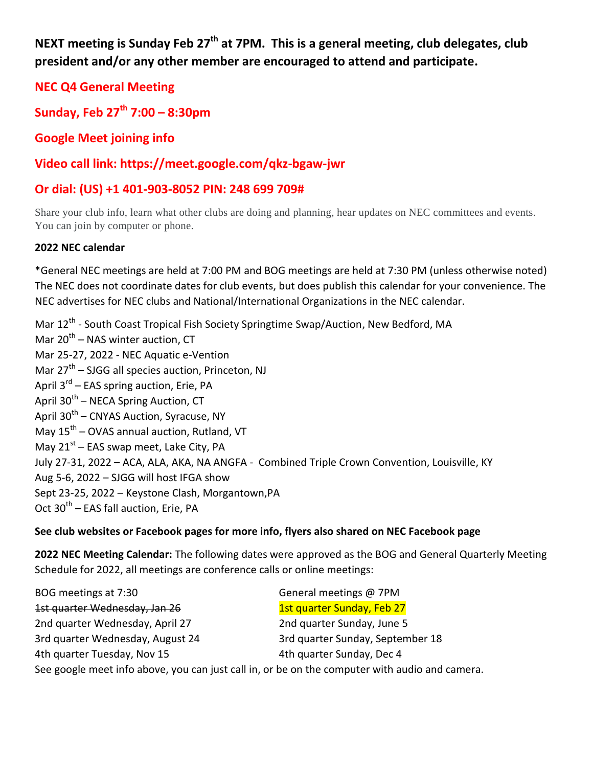**NEXT meeting is Sunday Feb 27th at 7PM. This is a general meeting, club delegates, club president and/or any other member are encouraged to attend and participate.** 

**NEC Q4 General Meeting**

**Sunday, Feb 27th 7:00 – 8:30pm**

**Google Meet joining info**

**Video call link: https://meet.google.com/qkz-bgaw-jwr**

# **Or dial: (US) +1 401-903-8052 PIN: 248 699 709#**

Share your club info, learn what other clubs are doing and planning, hear updates on NEC committees and events. You can join by computer or phone.

# **2022 NEC calendar**

\*General NEC meetings are held at 7:00 PM and BOG meetings are held at 7:30 PM (unless otherwise noted) The NEC does not coordinate dates for club events, but does publish this calendar for your convenience. The NEC advertises for NEC clubs and National/International Organizations in the NEC calendar.

Mar 12<sup>th</sup> - South Coast Tropical Fish Society Springtime Swap/Auction, New Bedford, MA Mar 20<sup>th</sup> – NAS winter auction, CT Mar 25-27, 2022 - NEC Aquatic e-Vention Mar 27<sup>th</sup> – SJGG all species auction, Princeton, NJ April 3<sup>rd</sup> – EAS spring auction, Erie, PA April 30<sup>th</sup> – NECA Spring Auction, CT April 30<sup>th</sup> – CNYAS Auction, Syracuse, NY May 15<sup>th</sup> – OVAS annual auction, Rutland, VT May 21<sup>st</sup> – EAS swap meet, Lake City, PA July 27-31, 2022 – ACA, ALA, AKA, NA ANGFA - Combined Triple Crown Convention, Louisville, KY Aug 5-6, 2022 – SJGG will host IFGA show Sept 23-25, 2022 – Keystone Clash, Morgantown,PA Oct 30<sup>th</sup> – EAS fall auction, Erie, PA

## **See club websites or Facebook pages for more info, flyers also shared on NEC Facebook page**

**2022 NEC Meeting Calendar:** The following dates were approved as the BOG and General Quarterly Meeting Schedule for 2022, all meetings are conference calls or online meetings:

| BOG meetings at 7:30                                                                           | General meetings @ 7PM           |
|------------------------------------------------------------------------------------------------|----------------------------------|
| 1st quarter Wednesday, Jan 26                                                                  | 1st quarter Sunday, Feb 27       |
| 2nd quarter Wednesday, April 27                                                                | 2nd quarter Sunday, June 5       |
| 3rd quarter Wednesday, August 24                                                               | 3rd quarter Sunday, September 18 |
| 4th quarter Tuesday, Nov 15                                                                    | 4th quarter Sunday, Dec 4        |
| See google meet info above, you can just call in, or be on the computer with audio and camera. |                                  |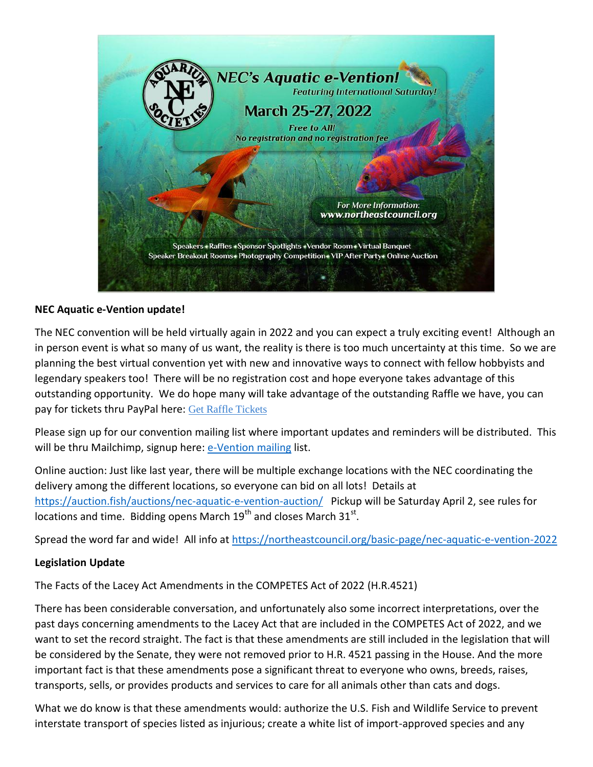

#### **NEC Aquatic e-Vention update!**

The NEC convention will be held virtually again in 2022 and you can expect a truly exciting event! Although an in person event is what so many of us want, the reality is there is too much uncertainty at this time. So we are planning the best virtual convention yet with new and innovative ways to connect with fellow hobbyists and legendary speakers too! There will be no registration cost and hope everyone takes advantage of this outstanding opportunity. We do hope many will take advantage of the outstanding Raffle we have, you can pay for tickets thru PayPal here: [Get Raffle Tickets](https://www.paypal.com/paypalme/NECevention?country.x=US&locale.x=en_US)

Please sign up for our convention mailing list where important updates and reminders will be distributed. This will be thru Mailchimp, signup here: [e-Vention mailing](http://eepurl.com/hQ2GVr) list.

Online auction: Just like last year, there will be multiple exchange locations with the NEC coordinating the delivery among the different locations, so everyone can bid on all lots! Details at <https://auction.fish/auctions/nec-aquatic-e-vention-auction/>Pickup will be Saturday April 2, see rules for locations and time. Bidding opens March 19<sup>th</sup> and closes March 31<sup>st</sup>.

Spread the word far and wide! All info at<https://northeastcouncil.org/basic-page/nec-aquatic-e-vention-2022>

## **Legislation Update**

The Facts of the Lacey Act Amendments in the COMPETES Act of 2022 (H.R.4521)

There has been considerable conversation, and unfortunately also some incorrect interpretations, over the past days concerning amendments to the Lacey Act that are included in the COMPETES Act of 2022, and we want to set the record straight. The fact is that these amendments are still included in the legislation that will be considered by the Senate, they were not removed prior to H.R. 4521 passing in the House. And the more important fact is that these amendments pose a significant threat to everyone who owns, breeds, raises, transports, sells, or provides products and services to care for all animals other than cats and dogs.

What we do know is that these amendments would: authorize the U.S. Fish and Wildlife Service to prevent interstate transport of species listed as injurious; create a white list of import-approved species and any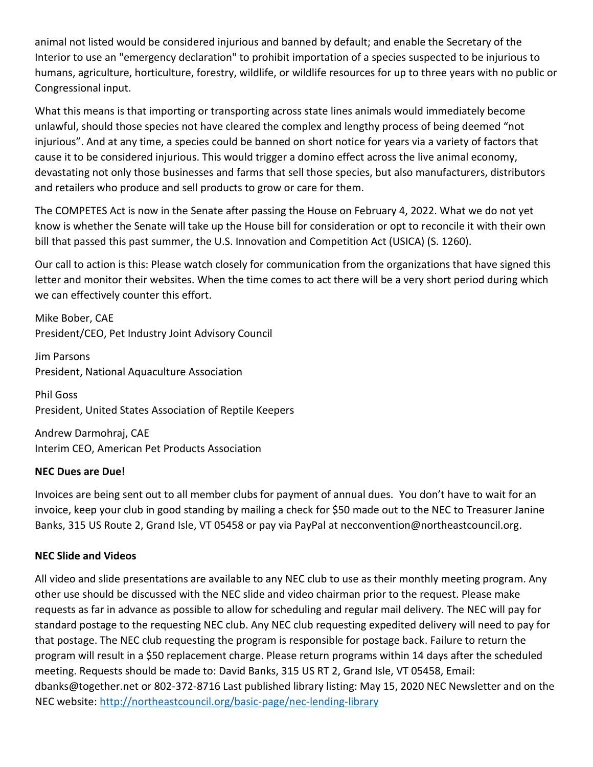animal not listed would be considered injurious and banned by default; and enable the Secretary of the Interior to use an "emergency declaration" to prohibit importation of a species suspected to be injurious to humans, agriculture, horticulture, forestry, wildlife, or wildlife resources for up to three years with no public or Congressional input.

What this means is that importing or transporting across state lines animals would immediately become unlawful, should those species not have cleared the complex and lengthy process of being deemed "not injurious". And at any time, a species could be banned on short notice for years via a variety of factors that cause it to be considered injurious. This would trigger a domino effect across the live animal economy, devastating not only those businesses and farms that sell those species, but also manufacturers, distributors and retailers who produce and sell products to grow or care for them.

The COMPETES Act is now in the Senate after passing the House on February 4, 2022. What we do not yet know is whether the Senate will take up the House bill for consideration or opt to reconcile it with their own bill that passed this past summer, the U.S. Innovation and Competition Act (USICA) (S. 1260).

Our call to action is this: Please watch closely for communication from the organizations that have signed this letter and monitor their websites. When the time comes to act there will be a very short period during which we can effectively counter this effort.

Mike Bober, CAE President/CEO, Pet Industry Joint Advisory Council

Jim Parsons President, National Aquaculture Association

Phil Goss President, United States Association of Reptile Keepers

Andrew Darmohraj, CAE Interim CEO, American Pet Products Association

## **NEC Dues are Due!**

Invoices are being sent out to all member clubs for payment of annual dues. You don't have to wait for an invoice, keep your club in good standing by mailing a check for \$50 made out to the NEC to Treasurer Janine Banks, 315 US Route 2, Grand Isle, VT 05458 or pay via PayPal at necconvention@northeastcouncil.org.

#### **NEC Slide and Videos**

All video and slide presentations are available to any NEC club to use as their monthly meeting program. Any other use should be discussed with the NEC slide and video chairman prior to the request. Please make requests as far in advance as possible to allow for scheduling and regular mail delivery. The NEC will pay for standard postage to the requesting NEC club. Any NEC club requesting expedited delivery will need to pay for that postage. The NEC club requesting the program is responsible for postage back. Failure to return the program will result in a \$50 replacement charge. Please return programs within 14 days after the scheduled meeting. Requests should be made to: David Banks, 315 US RT 2, Grand Isle, VT 05458, Email: dbanks@together.net or 802-372-8716 Last published library listing: May 15, 2020 NEC Newsletter and on the NEC website:<http://northeastcouncil.org/basic-page/nec-lending-library>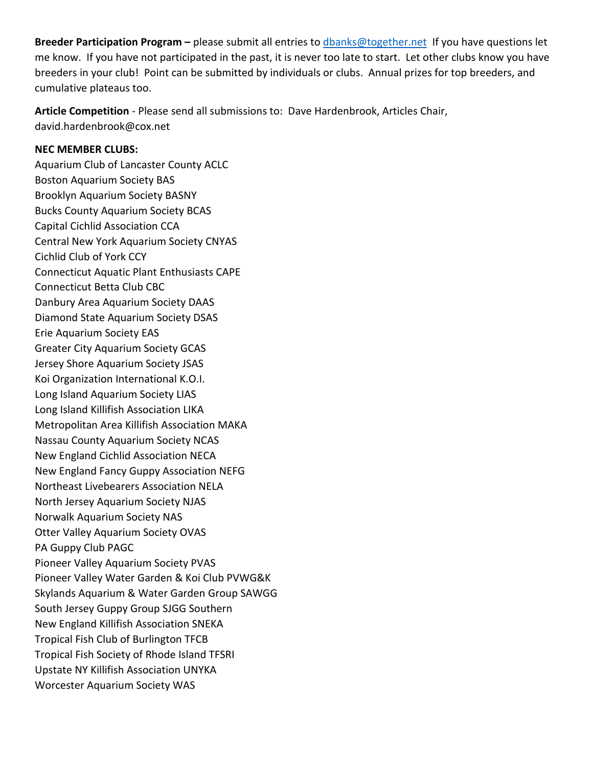**Breeder Participation Program –** please submit all entries to [dbanks@together.net](mailto:dbanks@together.net) If you have questions let me know. If you have not participated in the past, it is never too late to start. Let other clubs know you have breeders in your club! Point can be submitted by individuals or clubs. Annual prizes for top breeders, and cumulative plateaus too.

**Article Competition** - Please send all submissions to: Dave Hardenbrook, Articles Chair, david.hardenbrook@cox.net

#### **NEC MEMBER CLUBS:**

Aquarium Club of Lancaster County ACLC Boston Aquarium Society BAS Brooklyn Aquarium Society BASNY Bucks County Aquarium Society BCAS Capital Cichlid Association CCA Central New York Aquarium Society CNYAS Cichlid Club of York CCY Connecticut Aquatic Plant Enthusiasts CAPE Connecticut Betta Club CBC Danbury Area Aquarium Society DAAS Diamond State Aquarium Society DSAS Erie Aquarium Society EAS Greater City Aquarium Society GCAS Jersey Shore Aquarium Society JSAS Koi Organization International K.O.I. Long Island Aquarium Society LIAS Long Island Killifish Association LIKA Metropolitan Area Killifish Association MAKA Nassau County Aquarium Society NCAS New England Cichlid Association NECA New England Fancy Guppy Association NEFG Northeast Livebearers Association NELA North Jersey Aquarium Society NJAS Norwalk Aquarium Society NAS Otter Valley Aquarium Society OVAS PA Guppy Club PAGC Pioneer Valley Aquarium Society PVAS Pioneer Valley Water Garden & Koi Club PVWG&K Skylands Aquarium & Water Garden Group SAWGG South Jersey Guppy Group SJGG Southern New England Killifish Association SNEKA Tropical Fish Club of Burlington TFCB Tropical Fish Society of Rhode Island TFSRI Upstate NY Killifish Association UNYKA Worcester Aquarium Society WAS